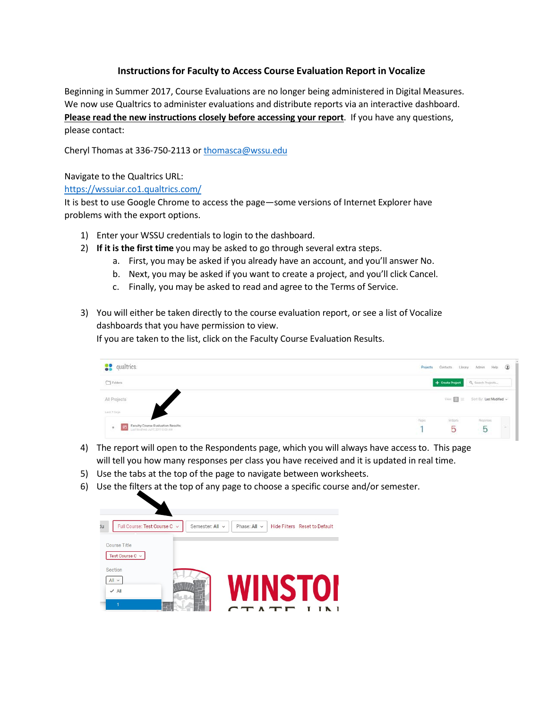## **Instructionsfor Faculty to Access Course Evaluation Report in Vocalize**

Beginning in Summer 2017, Course Evaluations are no longer being administered in Digital Measures. We now use Qualtrics to administer evaluations and distribute reports via an interactive dashboard. **Please read the new instructions closely before accessing your report**. If you have any questions, please contact:

Cheryl Thomas at 336-750-2113 or [thomasca@wssu.edu](mailto:thomasca@wssu.edu)

## Navigate to the Qualtrics URL:

## https://wssuiar.co1.qualtrics.com/

It is best to use Google Chrome to access the page—some versions of Internet Explorer have problems with the export options.

- 1) Enter your WSSU credentials to login to the dashboard.
- 2) **If it is the first time** you may be asked to go through several extra steps.
	- a. First, you may be asked if you already have an account, and you'll answer No.
	- b. Next, you may be asked if you want to create a project, and you'll click Cancel.
	- c. Finally, you may be asked to read and agree to the Terms of Service.
- 3) You will either be taken directly to the course evaluation report, or see a list of Vocalize dashboards that you have permission to view.

If you are taken to the list, click on the Faculty Course Evaluation Results.

| <b>S</b> <sup>9</sup> qualtrics.                                                                      | $\circledcirc$<br>Projects Contacts Library Admin Help |
|-------------------------------------------------------------------------------------------------------|--------------------------------------------------------|
| $\hfill\Box$<br>Folders                                                                               | Q. Search Projects<br>+ Create Project                 |
| All Projects                                                                                          | View $\blacksquare$ = Sort By: Last Modified ~         |
| List Forys<br>Faculty Course Evaluation Results<br>图<br>$\tau$<br>List tellified Jul (1,201110.00 AM) | Resortes<br>Walgets<br>Pages<br>$\overline{5}$<br>5    |

- 4) The report will open to the Respondents page, which you will always have access to. This page will tell you how many responses per class you have received and it is updated in real time.
- 5) Use the tabs at the top of the page to navigate between worksheets.
- 6) Use the filters at the top of any page to choose a specific course and/or semester.

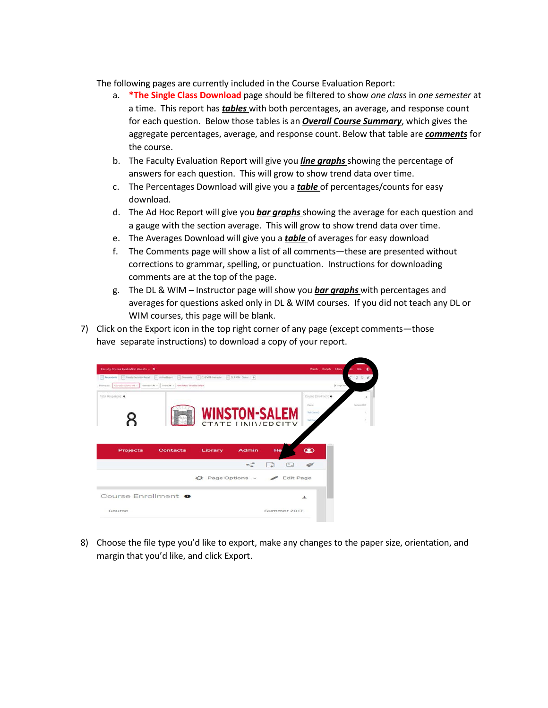The following pages are currently included in the Course Evaluation Report:

- a. **\*The Single Class Download** page should be filtered to show *one class* in *one semester* at a time. This report has *tables* with both percentages, an average, and response count for each question. Below those tables is an *Overall Course Summary*, which gives the aggregate percentages, average, and response count. Below that table are *comments* for the course.
- b. The Faculty Evaluation Report will give you *line graphs* showing the percentage of answers for each question. This will grow to show trend data over time.
- c. The Percentages Download will give you a *table* of percentages/counts for easy download.
- d. The Ad Hoc Report will give you *bar graphs* showing the average for each question and a gauge with the section average. This will grow to show trend data over time.
- e. The Averages Download will give you a *table* of averages for easy download
- f. The Comments page will show a list of all comments—these are presented without corrections to grammar, spelling, or punctuation. Instructions for downloading comments are at the top of the page.
- g. The DL & WIM Instructor page will show you *bar graphs* with percentages and averages for questions asked only in DL & WIM courses. If you did not teach any DL or WIM courses, this page will be blank.
- 7) Click on the Export icon in the top right corner of any page (except comments—those have separate instructions) to download a copy of your report.

| Faculty Course Evaluation Results - O |                                                                                                                                                                                                                                                                                                                                                                                                                                                                            |                                                  |                                   |                                                                  | Projects Contacts Library |             |             |   |
|---------------------------------------|----------------------------------------------------------------------------------------------------------------------------------------------------------------------------------------------------------------------------------------------------------------------------------------------------------------------------------------------------------------------------------------------------------------------------------------------------------------------------|--------------------------------------------------|-----------------------------------|------------------------------------------------------------------|---------------------------|-------------|-------------|---|
| Filtering for                         | $\boxed{=} \boxed{\text{Reigenvalues}} \quad \boxed{\text{m}} \boxed{\text{Im} \text{Arath-fadation} \text{Re}(a) \quad \boxed{\text{m}}} \boxed{\text{Ad} \text{Im} \text{Re}(a) \quad \boxed{\text{m}}} \boxed{\text{Domular}} \quad \boxed{\text{m}} \boxed{\text{O} \text{A} \text{WRL} \text{Re}(a) \quad \boxed{\text{m}}} \boxed{\text{O} \text{A} \text{WRL} \text{Re}(a) \quad \boxed{\text{m}}}$<br>Correlations MF - Sensor M - Thes M - Holiter Rest to Detail |                                                  |                                   |                                                                  |                           | O. Papellan | 284         |   |
| Total Responses: 0                    |                                                                                                                                                                                                                                                                                                                                                                                                                                                                            | <b>WINSTON-SALEM</b><br><b>STATE LINIVERSITY</b> |                                   | Course Enrollment<br><b>Color</b><br>material<br><b>Time</b> Cow |                           |             | Summer 2517 | ٠ |
|                                       |                                                                                                                                                                                                                                                                                                                                                                                                                                                                            |                                                  |                                   |                                                                  |                           |             |             |   |
| <b>Projects</b>                       | <b>Contacts</b>                                                                                                                                                                                                                                                                                                                                                                                                                                                            | <b>Admin</b><br>Library                          | He<br>$\lceil \frac{1}{2} \rceil$ | $\circledast$                                                    |                           |             |             |   |
|                                       |                                                                                                                                                                                                                                                                                                                                                                                                                                                                            | $\bigcirc$ Page Options $\vee$                   | <b>Edit Page</b>                  |                                                                  |                           |             |             |   |
| Course Enrollment <sup>o</sup>        |                                                                                                                                                                                                                                                                                                                                                                                                                                                                            |                                                  |                                   | $\pm$                                                            |                           |             |             |   |

8) Choose the file type you'd like to export, make any changes to the paper size, orientation, and margin that you'd like, and click Export.